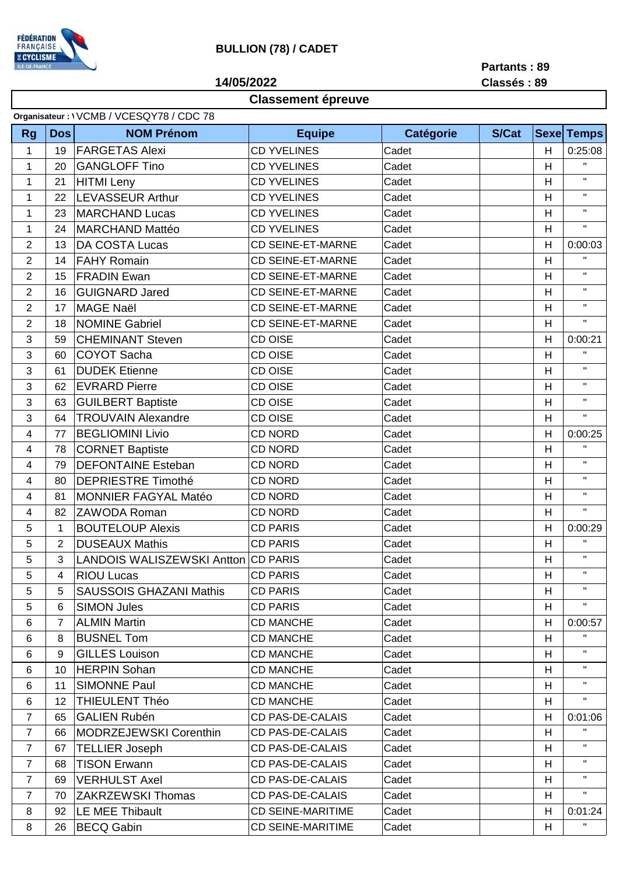

## **BULLION (78) / CADET**

**14/05/2022**

**Partants : 89 Classés : 89**

## **Classement épreuve**

| <b>S/Cat</b><br><b>NOM Prénom</b><br><b>Equipe</b><br><b>Catégorie</b><br><b>Sexe Temps</b><br><b>Rg</b><br><b>Dos</b><br><b>FARGETAS Alexi</b><br><b>CD YVELINES</b><br>Cadet<br>H<br>1<br>19<br>$\mathbf{H}$<br><b>GANGLOFF Tino</b><br><b>CD YVELINES</b><br>20<br>Cadet<br>H<br>1<br>$\mathbf H$<br><b>CD YVELINES</b><br>21<br><b>HITMI</b> Leny<br>Cadet<br>H<br>1<br>$\mathbf{H}$<br><b>LEVASSEUR Arthur</b><br><b>CD YVELINES</b><br>1<br>22<br>H<br>Cadet<br>$\mathbf H$<br><b>CD YVELINES</b><br>23<br><b>MARCHAND Lucas</b><br>Cadet<br>H<br>1<br>$\mathbf{H}$<br><b>MARCHAND Mattéo</b><br><b>CD YVELINES</b><br>1<br>24<br>Cadet<br>H<br>$\overline{2}$<br>DA COSTA Lucas<br><b>CD SEINE-ET-MARNE</b><br>Cadet<br>H<br>13<br>$\mathbf{H}$<br>$\overline{2}$<br><b>FAHY Romain</b><br><b>CD SEINE-ET-MARNE</b><br>14<br>Cadet<br>H<br>$\mathbf H$<br>$\overline{2}$<br><b>FRADIN Ewan</b><br><b>CD SEINE-ET-MARNE</b><br>15<br>Cadet<br>H<br>$\mathbf H$<br><b>GUIGNARD Jared</b><br>$\overline{2}$<br><b>CD SEINE-ET-MARNE</b><br>16<br>Cadet<br>H<br>$\mathbf H$<br>$\overline{2}$<br>17<br><b>MAGE Naël</b><br><b>CD SEINE-ET-MARNE</b><br>H<br>Cadet<br>$\mathbf H$<br>$\overline{2}$<br><b>NOMINE Gabriel</b><br><b>CD SEINE-ET-MARNE</b><br>18<br>Cadet<br>H<br>3<br><b>CHEMINANT Steven</b><br><b>CD OISE</b><br>H<br>59<br>Cadet<br>0:00:21<br>$\mathbf{H}$<br>3<br><b>COYOT Sacha</b><br><b>CD OISE</b><br>Cadet<br>H<br>60<br>$\mathbf H$<br>3<br><b>DUDEK Etienne</b><br><b>CD OISE</b><br>H<br>61<br>Cadet<br>$\mathbf H$<br><b>EVRARD Pierre</b><br>CD OISE<br>3<br>62<br>Cadet<br>H<br>$\mathbf H$<br>3<br><b>GUILBERT Baptiste</b><br><b>CD OISE</b><br>H<br>63<br>Cadet<br>$\mathbf H$<br><b>TROUVAIN Alexandre</b><br>CD OISE<br>3<br>Cadet<br>H<br>64<br><b>BEGLIOMINI Livio</b><br>77<br><b>CD NORD</b><br>Cadet<br>H<br>4<br>$\pmb{\mathsf{H}}$<br><b>CORNET Baptiste</b><br><b>CD NORD</b><br>78<br>Cadet<br>4<br>H<br>$\mathbf{H}$<br><b>DEFONTAINE Esteban</b><br>79<br><b>CD NORD</b><br>4<br>Cadet<br>H<br>$\mathbf{H}$<br><b>CD NORD</b><br><b>DEPRIESTRE Timothé</b><br>Cadet<br>H<br>4<br>80<br>$\mathbf H$<br>MONNIER FAGYAL Matéo<br><b>CD NORD</b><br>H<br>4<br>81<br>Cadet<br>$\mathbf{H}$<br><b>CD NORD</b><br>82<br>ZAWODA Roman<br>H<br>4<br>Cadet<br>5<br><b>BOUTELOUP Alexis</b><br>1<br><b>CD PARIS</b><br>H<br>Cadet<br>$\mathbf{H}$<br>5<br>$\overline{2}$<br><b>DUSEAUX Mathis</b><br><b>CD PARIS</b><br>Cadet<br>H<br>$\mathbf{H}$<br>5<br>3<br>LANDOIS WALISZEWSKI Antton CD PARIS<br>H<br>Cadet<br><b>RIOU Lucas</b><br>H<br>$\mathbf{H}$<br>5<br><b>CD PARIS</b><br>Cadet<br>$\overline{4}$<br>$\mathbf H$<br><b>SAUSSOIS GHAZANI Mathis</b><br>5<br><b>CD PARIS</b><br>Cadet<br>H<br>5<br>$\mathbf H$<br>5<br><b>SIMON Jules</b><br><b>CD PARIS</b><br>Cadet<br>6<br>H<br><b>ALMIN Martin</b><br><b>CD MANCHE</b><br>6<br>7<br>Cadet<br>H<br>$\mathbf{H}$<br><b>BUSNEL Tom</b><br><b>CD MANCHE</b><br>Cadet<br>H<br>6<br>8<br>$\mathbf{H}$<br>9<br><b>GILLES Louison</b><br><b>CD MANCHE</b><br>6<br>Cadet<br>H<br>$\mathbf{H}$<br><b>HERPIN Sohan</b><br>6<br>10<br><b>CD MANCHE</b><br>Cadet<br>H<br>$\mathbf{H}$<br>11<br><b>SIMONNE Paul</b><br><b>CD MANCHE</b><br>6<br>Cadet<br>H<br>$\mathbf{H}$<br>12<br><b>THIEULENT Théo</b><br><b>CD MANCHE</b><br>6<br>Cadet<br>H<br><b>GALIEN Rubén</b><br>CD PAS-DE-CALAIS<br>$\overline{7}$<br>Cadet<br>65<br>H<br>$\mathbf{H}$<br>$\overline{7}$<br>MODRZEJEWSKI Corenthin<br>CD PAS-DE-CALAIS<br>H<br>66<br>Cadet<br>$\mathbf{H}$<br>$\overline{7}$<br><b>TELLIER Joseph</b><br>CD PAS-DE-CALAIS<br>67<br>Cadet<br>H<br>$\mathbf{H}$<br>$\overline{7}$<br><b>TISON Erwann</b><br><b>CD PAS-DE-CALAIS</b><br>68<br>Cadet<br>H<br>$\mathbf H$<br>$\overline{7}$<br><b>VERHULST Axel</b><br>CD PAS-DE-CALAIS<br>69<br>Cadet<br>H<br>$\mathbf H$<br>7<br><b>ZAKRZEWSKI Thomas</b><br>CD PAS-DE-CALAIS<br>70<br>Cadet<br>H<br>LE MEE Thibault<br><b>CD SEINE-MARITIME</b><br>Cadet<br>H<br>8<br>92<br><b>BECQ Gabin</b><br><b>CD SEINE-MARITIME</b><br>8<br>26<br>Cadet<br>H | Organisateur: \ VCMB / VCESQY78 / CDC 78 |  |  |  |  |  |  |         |  |  |  |  |
|------------------------------------------------------------------------------------------------------------------------------------------------------------------------------------------------------------------------------------------------------------------------------------------------------------------------------------------------------------------------------------------------------------------------------------------------------------------------------------------------------------------------------------------------------------------------------------------------------------------------------------------------------------------------------------------------------------------------------------------------------------------------------------------------------------------------------------------------------------------------------------------------------------------------------------------------------------------------------------------------------------------------------------------------------------------------------------------------------------------------------------------------------------------------------------------------------------------------------------------------------------------------------------------------------------------------------------------------------------------------------------------------------------------------------------------------------------------------------------------------------------------------------------------------------------------------------------------------------------------------------------------------------------------------------------------------------------------------------------------------------------------------------------------------------------------------------------------------------------------------------------------------------------------------------------------------------------------------------------------------------------------------------------------------------------------------------------------------------------------------------------------------------------------------------------------------------------------------------------------------------------------------------------------------------------------------------------------------------------------------------------------------------------------------------------------------------------------------------------------------------------------------------------------------------------------------------------------------------------------------------------------------------------------------------------------------------------------------------------------------------------------------------------------------------------------------------------------------------------------------------------------------------------------------------------------------------------------------------------------------------------------------------------------------------------------------------------------------------------------------------------------------------------------------------------------------------------------------------------------------------------------------------------------------------------------------------------------------------------------------------------------------------------------------------------------------------------------------------------------------------------------------------------------------------------------------------------------------------------------------------------------------------------------------------------------------------------------------------------------------------------------------------------------------------------------------------------------------------------------------------------------------------------------------------------------------------------------------------------------------------------------------------------------------------------------------------------|------------------------------------------|--|--|--|--|--|--|---------|--|--|--|--|
|                                                                                                                                                                                                                                                                                                                                                                                                                                                                                                                                                                                                                                                                                                                                                                                                                                                                                                                                                                                                                                                                                                                                                                                                                                                                                                                                                                                                                                                                                                                                                                                                                                                                                                                                                                                                                                                                                                                                                                                                                                                                                                                                                                                                                                                                                                                                                                                                                                                                                                                                                                                                                                                                                                                                                                                                                                                                                                                                                                                                                                                                                                                                                                                                                                                                                                                                                                                                                                                                                                                                                                                                                                                                                                                                                                                                                                                                                                                                                                                                                                                                                    |                                          |  |  |  |  |  |  |         |  |  |  |  |
|                                                                                                                                                                                                                                                                                                                                                                                                                                                                                                                                                                                                                                                                                                                                                                                                                                                                                                                                                                                                                                                                                                                                                                                                                                                                                                                                                                                                                                                                                                                                                                                                                                                                                                                                                                                                                                                                                                                                                                                                                                                                                                                                                                                                                                                                                                                                                                                                                                                                                                                                                                                                                                                                                                                                                                                                                                                                                                                                                                                                                                                                                                                                                                                                                                                                                                                                                                                                                                                                                                                                                                                                                                                                                                                                                                                                                                                                                                                                                                                                                                                                                    |                                          |  |  |  |  |  |  | 0:25:08 |  |  |  |  |
|                                                                                                                                                                                                                                                                                                                                                                                                                                                                                                                                                                                                                                                                                                                                                                                                                                                                                                                                                                                                                                                                                                                                                                                                                                                                                                                                                                                                                                                                                                                                                                                                                                                                                                                                                                                                                                                                                                                                                                                                                                                                                                                                                                                                                                                                                                                                                                                                                                                                                                                                                                                                                                                                                                                                                                                                                                                                                                                                                                                                                                                                                                                                                                                                                                                                                                                                                                                                                                                                                                                                                                                                                                                                                                                                                                                                                                                                                                                                                                                                                                                                                    |                                          |  |  |  |  |  |  |         |  |  |  |  |
|                                                                                                                                                                                                                                                                                                                                                                                                                                                                                                                                                                                                                                                                                                                                                                                                                                                                                                                                                                                                                                                                                                                                                                                                                                                                                                                                                                                                                                                                                                                                                                                                                                                                                                                                                                                                                                                                                                                                                                                                                                                                                                                                                                                                                                                                                                                                                                                                                                                                                                                                                                                                                                                                                                                                                                                                                                                                                                                                                                                                                                                                                                                                                                                                                                                                                                                                                                                                                                                                                                                                                                                                                                                                                                                                                                                                                                                                                                                                                                                                                                                                                    |                                          |  |  |  |  |  |  |         |  |  |  |  |
|                                                                                                                                                                                                                                                                                                                                                                                                                                                                                                                                                                                                                                                                                                                                                                                                                                                                                                                                                                                                                                                                                                                                                                                                                                                                                                                                                                                                                                                                                                                                                                                                                                                                                                                                                                                                                                                                                                                                                                                                                                                                                                                                                                                                                                                                                                                                                                                                                                                                                                                                                                                                                                                                                                                                                                                                                                                                                                                                                                                                                                                                                                                                                                                                                                                                                                                                                                                                                                                                                                                                                                                                                                                                                                                                                                                                                                                                                                                                                                                                                                                                                    |                                          |  |  |  |  |  |  |         |  |  |  |  |
|                                                                                                                                                                                                                                                                                                                                                                                                                                                                                                                                                                                                                                                                                                                                                                                                                                                                                                                                                                                                                                                                                                                                                                                                                                                                                                                                                                                                                                                                                                                                                                                                                                                                                                                                                                                                                                                                                                                                                                                                                                                                                                                                                                                                                                                                                                                                                                                                                                                                                                                                                                                                                                                                                                                                                                                                                                                                                                                                                                                                                                                                                                                                                                                                                                                                                                                                                                                                                                                                                                                                                                                                                                                                                                                                                                                                                                                                                                                                                                                                                                                                                    |                                          |  |  |  |  |  |  |         |  |  |  |  |
|                                                                                                                                                                                                                                                                                                                                                                                                                                                                                                                                                                                                                                                                                                                                                                                                                                                                                                                                                                                                                                                                                                                                                                                                                                                                                                                                                                                                                                                                                                                                                                                                                                                                                                                                                                                                                                                                                                                                                                                                                                                                                                                                                                                                                                                                                                                                                                                                                                                                                                                                                                                                                                                                                                                                                                                                                                                                                                                                                                                                                                                                                                                                                                                                                                                                                                                                                                                                                                                                                                                                                                                                                                                                                                                                                                                                                                                                                                                                                                                                                                                                                    |                                          |  |  |  |  |  |  |         |  |  |  |  |
|                                                                                                                                                                                                                                                                                                                                                                                                                                                                                                                                                                                                                                                                                                                                                                                                                                                                                                                                                                                                                                                                                                                                                                                                                                                                                                                                                                                                                                                                                                                                                                                                                                                                                                                                                                                                                                                                                                                                                                                                                                                                                                                                                                                                                                                                                                                                                                                                                                                                                                                                                                                                                                                                                                                                                                                                                                                                                                                                                                                                                                                                                                                                                                                                                                                                                                                                                                                                                                                                                                                                                                                                                                                                                                                                                                                                                                                                                                                                                                                                                                                                                    |                                          |  |  |  |  |  |  | 0:00:03 |  |  |  |  |
|                                                                                                                                                                                                                                                                                                                                                                                                                                                                                                                                                                                                                                                                                                                                                                                                                                                                                                                                                                                                                                                                                                                                                                                                                                                                                                                                                                                                                                                                                                                                                                                                                                                                                                                                                                                                                                                                                                                                                                                                                                                                                                                                                                                                                                                                                                                                                                                                                                                                                                                                                                                                                                                                                                                                                                                                                                                                                                                                                                                                                                                                                                                                                                                                                                                                                                                                                                                                                                                                                                                                                                                                                                                                                                                                                                                                                                                                                                                                                                                                                                                                                    |                                          |  |  |  |  |  |  |         |  |  |  |  |
|                                                                                                                                                                                                                                                                                                                                                                                                                                                                                                                                                                                                                                                                                                                                                                                                                                                                                                                                                                                                                                                                                                                                                                                                                                                                                                                                                                                                                                                                                                                                                                                                                                                                                                                                                                                                                                                                                                                                                                                                                                                                                                                                                                                                                                                                                                                                                                                                                                                                                                                                                                                                                                                                                                                                                                                                                                                                                                                                                                                                                                                                                                                                                                                                                                                                                                                                                                                                                                                                                                                                                                                                                                                                                                                                                                                                                                                                                                                                                                                                                                                                                    |                                          |  |  |  |  |  |  |         |  |  |  |  |
|                                                                                                                                                                                                                                                                                                                                                                                                                                                                                                                                                                                                                                                                                                                                                                                                                                                                                                                                                                                                                                                                                                                                                                                                                                                                                                                                                                                                                                                                                                                                                                                                                                                                                                                                                                                                                                                                                                                                                                                                                                                                                                                                                                                                                                                                                                                                                                                                                                                                                                                                                                                                                                                                                                                                                                                                                                                                                                                                                                                                                                                                                                                                                                                                                                                                                                                                                                                                                                                                                                                                                                                                                                                                                                                                                                                                                                                                                                                                                                                                                                                                                    |                                          |  |  |  |  |  |  |         |  |  |  |  |
|                                                                                                                                                                                                                                                                                                                                                                                                                                                                                                                                                                                                                                                                                                                                                                                                                                                                                                                                                                                                                                                                                                                                                                                                                                                                                                                                                                                                                                                                                                                                                                                                                                                                                                                                                                                                                                                                                                                                                                                                                                                                                                                                                                                                                                                                                                                                                                                                                                                                                                                                                                                                                                                                                                                                                                                                                                                                                                                                                                                                                                                                                                                                                                                                                                                                                                                                                                                                                                                                                                                                                                                                                                                                                                                                                                                                                                                                                                                                                                                                                                                                                    |                                          |  |  |  |  |  |  |         |  |  |  |  |
|                                                                                                                                                                                                                                                                                                                                                                                                                                                                                                                                                                                                                                                                                                                                                                                                                                                                                                                                                                                                                                                                                                                                                                                                                                                                                                                                                                                                                                                                                                                                                                                                                                                                                                                                                                                                                                                                                                                                                                                                                                                                                                                                                                                                                                                                                                                                                                                                                                                                                                                                                                                                                                                                                                                                                                                                                                                                                                                                                                                                                                                                                                                                                                                                                                                                                                                                                                                                                                                                                                                                                                                                                                                                                                                                                                                                                                                                                                                                                                                                                                                                                    |                                          |  |  |  |  |  |  |         |  |  |  |  |
|                                                                                                                                                                                                                                                                                                                                                                                                                                                                                                                                                                                                                                                                                                                                                                                                                                                                                                                                                                                                                                                                                                                                                                                                                                                                                                                                                                                                                                                                                                                                                                                                                                                                                                                                                                                                                                                                                                                                                                                                                                                                                                                                                                                                                                                                                                                                                                                                                                                                                                                                                                                                                                                                                                                                                                                                                                                                                                                                                                                                                                                                                                                                                                                                                                                                                                                                                                                                                                                                                                                                                                                                                                                                                                                                                                                                                                                                                                                                                                                                                                                                                    |                                          |  |  |  |  |  |  |         |  |  |  |  |
|                                                                                                                                                                                                                                                                                                                                                                                                                                                                                                                                                                                                                                                                                                                                                                                                                                                                                                                                                                                                                                                                                                                                                                                                                                                                                                                                                                                                                                                                                                                                                                                                                                                                                                                                                                                                                                                                                                                                                                                                                                                                                                                                                                                                                                                                                                                                                                                                                                                                                                                                                                                                                                                                                                                                                                                                                                                                                                                                                                                                                                                                                                                                                                                                                                                                                                                                                                                                                                                                                                                                                                                                                                                                                                                                                                                                                                                                                                                                                                                                                                                                                    |                                          |  |  |  |  |  |  |         |  |  |  |  |
|                                                                                                                                                                                                                                                                                                                                                                                                                                                                                                                                                                                                                                                                                                                                                                                                                                                                                                                                                                                                                                                                                                                                                                                                                                                                                                                                                                                                                                                                                                                                                                                                                                                                                                                                                                                                                                                                                                                                                                                                                                                                                                                                                                                                                                                                                                                                                                                                                                                                                                                                                                                                                                                                                                                                                                                                                                                                                                                                                                                                                                                                                                                                                                                                                                                                                                                                                                                                                                                                                                                                                                                                                                                                                                                                                                                                                                                                                                                                                                                                                                                                                    |                                          |  |  |  |  |  |  |         |  |  |  |  |
|                                                                                                                                                                                                                                                                                                                                                                                                                                                                                                                                                                                                                                                                                                                                                                                                                                                                                                                                                                                                                                                                                                                                                                                                                                                                                                                                                                                                                                                                                                                                                                                                                                                                                                                                                                                                                                                                                                                                                                                                                                                                                                                                                                                                                                                                                                                                                                                                                                                                                                                                                                                                                                                                                                                                                                                                                                                                                                                                                                                                                                                                                                                                                                                                                                                                                                                                                                                                                                                                                                                                                                                                                                                                                                                                                                                                                                                                                                                                                                                                                                                                                    |                                          |  |  |  |  |  |  |         |  |  |  |  |
|                                                                                                                                                                                                                                                                                                                                                                                                                                                                                                                                                                                                                                                                                                                                                                                                                                                                                                                                                                                                                                                                                                                                                                                                                                                                                                                                                                                                                                                                                                                                                                                                                                                                                                                                                                                                                                                                                                                                                                                                                                                                                                                                                                                                                                                                                                                                                                                                                                                                                                                                                                                                                                                                                                                                                                                                                                                                                                                                                                                                                                                                                                                                                                                                                                                                                                                                                                                                                                                                                                                                                                                                                                                                                                                                                                                                                                                                                                                                                                                                                                                                                    |                                          |  |  |  |  |  |  |         |  |  |  |  |
|                                                                                                                                                                                                                                                                                                                                                                                                                                                                                                                                                                                                                                                                                                                                                                                                                                                                                                                                                                                                                                                                                                                                                                                                                                                                                                                                                                                                                                                                                                                                                                                                                                                                                                                                                                                                                                                                                                                                                                                                                                                                                                                                                                                                                                                                                                                                                                                                                                                                                                                                                                                                                                                                                                                                                                                                                                                                                                                                                                                                                                                                                                                                                                                                                                                                                                                                                                                                                                                                                                                                                                                                                                                                                                                                                                                                                                                                                                                                                                                                                                                                                    |                                          |  |  |  |  |  |  |         |  |  |  |  |
|                                                                                                                                                                                                                                                                                                                                                                                                                                                                                                                                                                                                                                                                                                                                                                                                                                                                                                                                                                                                                                                                                                                                                                                                                                                                                                                                                                                                                                                                                                                                                                                                                                                                                                                                                                                                                                                                                                                                                                                                                                                                                                                                                                                                                                                                                                                                                                                                                                                                                                                                                                                                                                                                                                                                                                                                                                                                                                                                                                                                                                                                                                                                                                                                                                                                                                                                                                                                                                                                                                                                                                                                                                                                                                                                                                                                                                                                                                                                                                                                                                                                                    |                                          |  |  |  |  |  |  | 0:00:25 |  |  |  |  |
|                                                                                                                                                                                                                                                                                                                                                                                                                                                                                                                                                                                                                                                                                                                                                                                                                                                                                                                                                                                                                                                                                                                                                                                                                                                                                                                                                                                                                                                                                                                                                                                                                                                                                                                                                                                                                                                                                                                                                                                                                                                                                                                                                                                                                                                                                                                                                                                                                                                                                                                                                                                                                                                                                                                                                                                                                                                                                                                                                                                                                                                                                                                                                                                                                                                                                                                                                                                                                                                                                                                                                                                                                                                                                                                                                                                                                                                                                                                                                                                                                                                                                    |                                          |  |  |  |  |  |  |         |  |  |  |  |
|                                                                                                                                                                                                                                                                                                                                                                                                                                                                                                                                                                                                                                                                                                                                                                                                                                                                                                                                                                                                                                                                                                                                                                                                                                                                                                                                                                                                                                                                                                                                                                                                                                                                                                                                                                                                                                                                                                                                                                                                                                                                                                                                                                                                                                                                                                                                                                                                                                                                                                                                                                                                                                                                                                                                                                                                                                                                                                                                                                                                                                                                                                                                                                                                                                                                                                                                                                                                                                                                                                                                                                                                                                                                                                                                                                                                                                                                                                                                                                                                                                                                                    |                                          |  |  |  |  |  |  |         |  |  |  |  |
|                                                                                                                                                                                                                                                                                                                                                                                                                                                                                                                                                                                                                                                                                                                                                                                                                                                                                                                                                                                                                                                                                                                                                                                                                                                                                                                                                                                                                                                                                                                                                                                                                                                                                                                                                                                                                                                                                                                                                                                                                                                                                                                                                                                                                                                                                                                                                                                                                                                                                                                                                                                                                                                                                                                                                                                                                                                                                                                                                                                                                                                                                                                                                                                                                                                                                                                                                                                                                                                                                                                                                                                                                                                                                                                                                                                                                                                                                                                                                                                                                                                                                    |                                          |  |  |  |  |  |  |         |  |  |  |  |
|                                                                                                                                                                                                                                                                                                                                                                                                                                                                                                                                                                                                                                                                                                                                                                                                                                                                                                                                                                                                                                                                                                                                                                                                                                                                                                                                                                                                                                                                                                                                                                                                                                                                                                                                                                                                                                                                                                                                                                                                                                                                                                                                                                                                                                                                                                                                                                                                                                                                                                                                                                                                                                                                                                                                                                                                                                                                                                                                                                                                                                                                                                                                                                                                                                                                                                                                                                                                                                                                                                                                                                                                                                                                                                                                                                                                                                                                                                                                                                                                                                                                                    |                                          |  |  |  |  |  |  |         |  |  |  |  |
|                                                                                                                                                                                                                                                                                                                                                                                                                                                                                                                                                                                                                                                                                                                                                                                                                                                                                                                                                                                                                                                                                                                                                                                                                                                                                                                                                                                                                                                                                                                                                                                                                                                                                                                                                                                                                                                                                                                                                                                                                                                                                                                                                                                                                                                                                                                                                                                                                                                                                                                                                                                                                                                                                                                                                                                                                                                                                                                                                                                                                                                                                                                                                                                                                                                                                                                                                                                                                                                                                                                                                                                                                                                                                                                                                                                                                                                                                                                                                                                                                                                                                    |                                          |  |  |  |  |  |  |         |  |  |  |  |
|                                                                                                                                                                                                                                                                                                                                                                                                                                                                                                                                                                                                                                                                                                                                                                                                                                                                                                                                                                                                                                                                                                                                                                                                                                                                                                                                                                                                                                                                                                                                                                                                                                                                                                                                                                                                                                                                                                                                                                                                                                                                                                                                                                                                                                                                                                                                                                                                                                                                                                                                                                                                                                                                                                                                                                                                                                                                                                                                                                                                                                                                                                                                                                                                                                                                                                                                                                                                                                                                                                                                                                                                                                                                                                                                                                                                                                                                                                                                                                                                                                                                                    |                                          |  |  |  |  |  |  | 0:00:29 |  |  |  |  |
|                                                                                                                                                                                                                                                                                                                                                                                                                                                                                                                                                                                                                                                                                                                                                                                                                                                                                                                                                                                                                                                                                                                                                                                                                                                                                                                                                                                                                                                                                                                                                                                                                                                                                                                                                                                                                                                                                                                                                                                                                                                                                                                                                                                                                                                                                                                                                                                                                                                                                                                                                                                                                                                                                                                                                                                                                                                                                                                                                                                                                                                                                                                                                                                                                                                                                                                                                                                                                                                                                                                                                                                                                                                                                                                                                                                                                                                                                                                                                                                                                                                                                    |                                          |  |  |  |  |  |  |         |  |  |  |  |
|                                                                                                                                                                                                                                                                                                                                                                                                                                                                                                                                                                                                                                                                                                                                                                                                                                                                                                                                                                                                                                                                                                                                                                                                                                                                                                                                                                                                                                                                                                                                                                                                                                                                                                                                                                                                                                                                                                                                                                                                                                                                                                                                                                                                                                                                                                                                                                                                                                                                                                                                                                                                                                                                                                                                                                                                                                                                                                                                                                                                                                                                                                                                                                                                                                                                                                                                                                                                                                                                                                                                                                                                                                                                                                                                                                                                                                                                                                                                                                                                                                                                                    |                                          |  |  |  |  |  |  |         |  |  |  |  |
|                                                                                                                                                                                                                                                                                                                                                                                                                                                                                                                                                                                                                                                                                                                                                                                                                                                                                                                                                                                                                                                                                                                                                                                                                                                                                                                                                                                                                                                                                                                                                                                                                                                                                                                                                                                                                                                                                                                                                                                                                                                                                                                                                                                                                                                                                                                                                                                                                                                                                                                                                                                                                                                                                                                                                                                                                                                                                                                                                                                                                                                                                                                                                                                                                                                                                                                                                                                                                                                                                                                                                                                                                                                                                                                                                                                                                                                                                                                                                                                                                                                                                    |                                          |  |  |  |  |  |  |         |  |  |  |  |
|                                                                                                                                                                                                                                                                                                                                                                                                                                                                                                                                                                                                                                                                                                                                                                                                                                                                                                                                                                                                                                                                                                                                                                                                                                                                                                                                                                                                                                                                                                                                                                                                                                                                                                                                                                                                                                                                                                                                                                                                                                                                                                                                                                                                                                                                                                                                                                                                                                                                                                                                                                                                                                                                                                                                                                                                                                                                                                                                                                                                                                                                                                                                                                                                                                                                                                                                                                                                                                                                                                                                                                                                                                                                                                                                                                                                                                                                                                                                                                                                                                                                                    |                                          |  |  |  |  |  |  |         |  |  |  |  |
|                                                                                                                                                                                                                                                                                                                                                                                                                                                                                                                                                                                                                                                                                                                                                                                                                                                                                                                                                                                                                                                                                                                                                                                                                                                                                                                                                                                                                                                                                                                                                                                                                                                                                                                                                                                                                                                                                                                                                                                                                                                                                                                                                                                                                                                                                                                                                                                                                                                                                                                                                                                                                                                                                                                                                                                                                                                                                                                                                                                                                                                                                                                                                                                                                                                                                                                                                                                                                                                                                                                                                                                                                                                                                                                                                                                                                                                                                                                                                                                                                                                                                    |                                          |  |  |  |  |  |  |         |  |  |  |  |
|                                                                                                                                                                                                                                                                                                                                                                                                                                                                                                                                                                                                                                                                                                                                                                                                                                                                                                                                                                                                                                                                                                                                                                                                                                                                                                                                                                                                                                                                                                                                                                                                                                                                                                                                                                                                                                                                                                                                                                                                                                                                                                                                                                                                                                                                                                                                                                                                                                                                                                                                                                                                                                                                                                                                                                                                                                                                                                                                                                                                                                                                                                                                                                                                                                                                                                                                                                                                                                                                                                                                                                                                                                                                                                                                                                                                                                                                                                                                                                                                                                                                                    |                                          |  |  |  |  |  |  | 0:00:57 |  |  |  |  |
|                                                                                                                                                                                                                                                                                                                                                                                                                                                                                                                                                                                                                                                                                                                                                                                                                                                                                                                                                                                                                                                                                                                                                                                                                                                                                                                                                                                                                                                                                                                                                                                                                                                                                                                                                                                                                                                                                                                                                                                                                                                                                                                                                                                                                                                                                                                                                                                                                                                                                                                                                                                                                                                                                                                                                                                                                                                                                                                                                                                                                                                                                                                                                                                                                                                                                                                                                                                                                                                                                                                                                                                                                                                                                                                                                                                                                                                                                                                                                                                                                                                                                    |                                          |  |  |  |  |  |  |         |  |  |  |  |
|                                                                                                                                                                                                                                                                                                                                                                                                                                                                                                                                                                                                                                                                                                                                                                                                                                                                                                                                                                                                                                                                                                                                                                                                                                                                                                                                                                                                                                                                                                                                                                                                                                                                                                                                                                                                                                                                                                                                                                                                                                                                                                                                                                                                                                                                                                                                                                                                                                                                                                                                                                                                                                                                                                                                                                                                                                                                                                                                                                                                                                                                                                                                                                                                                                                                                                                                                                                                                                                                                                                                                                                                                                                                                                                                                                                                                                                                                                                                                                                                                                                                                    |                                          |  |  |  |  |  |  |         |  |  |  |  |
|                                                                                                                                                                                                                                                                                                                                                                                                                                                                                                                                                                                                                                                                                                                                                                                                                                                                                                                                                                                                                                                                                                                                                                                                                                                                                                                                                                                                                                                                                                                                                                                                                                                                                                                                                                                                                                                                                                                                                                                                                                                                                                                                                                                                                                                                                                                                                                                                                                                                                                                                                                                                                                                                                                                                                                                                                                                                                                                                                                                                                                                                                                                                                                                                                                                                                                                                                                                                                                                                                                                                                                                                                                                                                                                                                                                                                                                                                                                                                                                                                                                                                    |                                          |  |  |  |  |  |  |         |  |  |  |  |
|                                                                                                                                                                                                                                                                                                                                                                                                                                                                                                                                                                                                                                                                                                                                                                                                                                                                                                                                                                                                                                                                                                                                                                                                                                                                                                                                                                                                                                                                                                                                                                                                                                                                                                                                                                                                                                                                                                                                                                                                                                                                                                                                                                                                                                                                                                                                                                                                                                                                                                                                                                                                                                                                                                                                                                                                                                                                                                                                                                                                                                                                                                                                                                                                                                                                                                                                                                                                                                                                                                                                                                                                                                                                                                                                                                                                                                                                                                                                                                                                                                                                                    |                                          |  |  |  |  |  |  |         |  |  |  |  |
|                                                                                                                                                                                                                                                                                                                                                                                                                                                                                                                                                                                                                                                                                                                                                                                                                                                                                                                                                                                                                                                                                                                                                                                                                                                                                                                                                                                                                                                                                                                                                                                                                                                                                                                                                                                                                                                                                                                                                                                                                                                                                                                                                                                                                                                                                                                                                                                                                                                                                                                                                                                                                                                                                                                                                                                                                                                                                                                                                                                                                                                                                                                                                                                                                                                                                                                                                                                                                                                                                                                                                                                                                                                                                                                                                                                                                                                                                                                                                                                                                                                                                    |                                          |  |  |  |  |  |  |         |  |  |  |  |
|                                                                                                                                                                                                                                                                                                                                                                                                                                                                                                                                                                                                                                                                                                                                                                                                                                                                                                                                                                                                                                                                                                                                                                                                                                                                                                                                                                                                                                                                                                                                                                                                                                                                                                                                                                                                                                                                                                                                                                                                                                                                                                                                                                                                                                                                                                                                                                                                                                                                                                                                                                                                                                                                                                                                                                                                                                                                                                                                                                                                                                                                                                                                                                                                                                                                                                                                                                                                                                                                                                                                                                                                                                                                                                                                                                                                                                                                                                                                                                                                                                                                                    |                                          |  |  |  |  |  |  | 0:01:06 |  |  |  |  |
|                                                                                                                                                                                                                                                                                                                                                                                                                                                                                                                                                                                                                                                                                                                                                                                                                                                                                                                                                                                                                                                                                                                                                                                                                                                                                                                                                                                                                                                                                                                                                                                                                                                                                                                                                                                                                                                                                                                                                                                                                                                                                                                                                                                                                                                                                                                                                                                                                                                                                                                                                                                                                                                                                                                                                                                                                                                                                                                                                                                                                                                                                                                                                                                                                                                                                                                                                                                                                                                                                                                                                                                                                                                                                                                                                                                                                                                                                                                                                                                                                                                                                    |                                          |  |  |  |  |  |  |         |  |  |  |  |
|                                                                                                                                                                                                                                                                                                                                                                                                                                                                                                                                                                                                                                                                                                                                                                                                                                                                                                                                                                                                                                                                                                                                                                                                                                                                                                                                                                                                                                                                                                                                                                                                                                                                                                                                                                                                                                                                                                                                                                                                                                                                                                                                                                                                                                                                                                                                                                                                                                                                                                                                                                                                                                                                                                                                                                                                                                                                                                                                                                                                                                                                                                                                                                                                                                                                                                                                                                                                                                                                                                                                                                                                                                                                                                                                                                                                                                                                                                                                                                                                                                                                                    |                                          |  |  |  |  |  |  |         |  |  |  |  |
|                                                                                                                                                                                                                                                                                                                                                                                                                                                                                                                                                                                                                                                                                                                                                                                                                                                                                                                                                                                                                                                                                                                                                                                                                                                                                                                                                                                                                                                                                                                                                                                                                                                                                                                                                                                                                                                                                                                                                                                                                                                                                                                                                                                                                                                                                                                                                                                                                                                                                                                                                                                                                                                                                                                                                                                                                                                                                                                                                                                                                                                                                                                                                                                                                                                                                                                                                                                                                                                                                                                                                                                                                                                                                                                                                                                                                                                                                                                                                                                                                                                                                    |                                          |  |  |  |  |  |  |         |  |  |  |  |
|                                                                                                                                                                                                                                                                                                                                                                                                                                                                                                                                                                                                                                                                                                                                                                                                                                                                                                                                                                                                                                                                                                                                                                                                                                                                                                                                                                                                                                                                                                                                                                                                                                                                                                                                                                                                                                                                                                                                                                                                                                                                                                                                                                                                                                                                                                                                                                                                                                                                                                                                                                                                                                                                                                                                                                                                                                                                                                                                                                                                                                                                                                                                                                                                                                                                                                                                                                                                                                                                                                                                                                                                                                                                                                                                                                                                                                                                                                                                                                                                                                                                                    |                                          |  |  |  |  |  |  |         |  |  |  |  |
|                                                                                                                                                                                                                                                                                                                                                                                                                                                                                                                                                                                                                                                                                                                                                                                                                                                                                                                                                                                                                                                                                                                                                                                                                                                                                                                                                                                                                                                                                                                                                                                                                                                                                                                                                                                                                                                                                                                                                                                                                                                                                                                                                                                                                                                                                                                                                                                                                                                                                                                                                                                                                                                                                                                                                                                                                                                                                                                                                                                                                                                                                                                                                                                                                                                                                                                                                                                                                                                                                                                                                                                                                                                                                                                                                                                                                                                                                                                                                                                                                                                                                    |                                          |  |  |  |  |  |  |         |  |  |  |  |
|                                                                                                                                                                                                                                                                                                                                                                                                                                                                                                                                                                                                                                                                                                                                                                                                                                                                                                                                                                                                                                                                                                                                                                                                                                                                                                                                                                                                                                                                                                                                                                                                                                                                                                                                                                                                                                                                                                                                                                                                                                                                                                                                                                                                                                                                                                                                                                                                                                                                                                                                                                                                                                                                                                                                                                                                                                                                                                                                                                                                                                                                                                                                                                                                                                                                                                                                                                                                                                                                                                                                                                                                                                                                                                                                                                                                                                                                                                                                                                                                                                                                                    |                                          |  |  |  |  |  |  | 0:01:24 |  |  |  |  |
|                                                                                                                                                                                                                                                                                                                                                                                                                                                                                                                                                                                                                                                                                                                                                                                                                                                                                                                                                                                                                                                                                                                                                                                                                                                                                                                                                                                                                                                                                                                                                                                                                                                                                                                                                                                                                                                                                                                                                                                                                                                                                                                                                                                                                                                                                                                                                                                                                                                                                                                                                                                                                                                                                                                                                                                                                                                                                                                                                                                                                                                                                                                                                                                                                                                                                                                                                                                                                                                                                                                                                                                                                                                                                                                                                                                                                                                                                                                                                                                                                                                                                    |                                          |  |  |  |  |  |  |         |  |  |  |  |